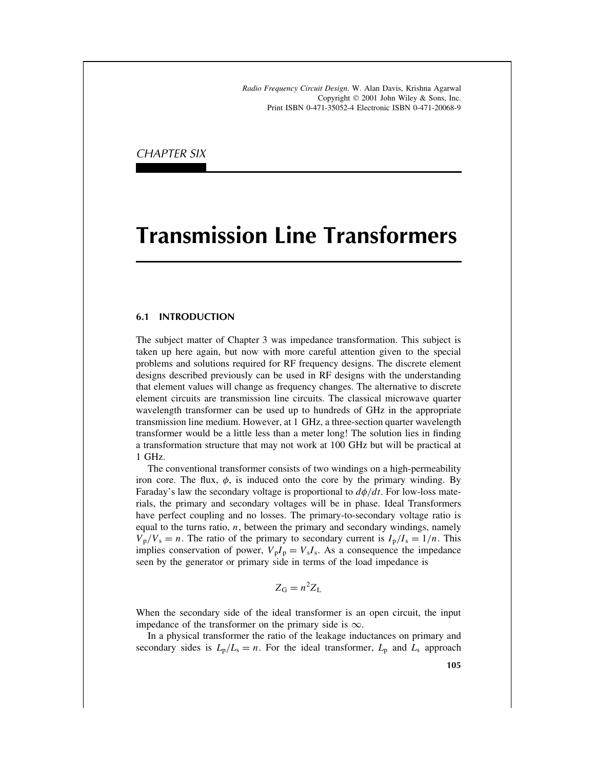*Radio Frequency Circuit Design*. W. Alan Davis, Krishna Agarwal Copyright  $\odot$  2001 John Wiley & Sons, Inc. Print ISBN 0-471-35052-4 Electronic ISBN 0-471-20068-9

CHAPTER SIX

# **Transmission Line Transformers**

## **6.1 INTRODUCTION**

The subject matter of Chapter 3 was impedance transformation. This subject is taken up here again, but now with more careful attention given to the special problems and solutions required for RF frequency designs. The discrete element designs described previously can be used in RF designs with the understanding that element values will change as frequency changes. The alternative to discrete element circuits are transmission line circuits. The classical microwave quarter wavelength transformer can be used up to hundreds of GHz in the appropriate transmission line medium. However, at 1 GHz, a three-section quarter wavelength transformer would be a little less than a meter long! The solution lies in finding a transformation structure that may not work at 100 GHz but will be practical at 1 GHz.

The conventional transformer consists of two windings on a high-permeability iron core. The flux,  $\phi$ , is induced onto the core by the primary winding. By Faraday's law the secondary voltage is proportional to  $d\phi/dt$ . For low-loss materials, the primary and secondary voltages will be in phase. Ideal Transformers have perfect coupling and no losses. The primary-to-secondary voltage ratio is equal to the turns ratio,  $n$ , between the primary and secondary windings, namely  $V_p/V_s = n$ . The ratio of the primary to secondary current is  $I_p/I_s = 1/n$ . This implies conservation of power,  $V_{p}I_{p} = V_{s}I_{s}$ . As a consequence the impedance seen by the generator or primary side in terms of the load impedance is

$$
Z_{\rm G}=n^2Z_{\rm L}
$$

When the secondary side of the ideal transformer is an open circuit, the input impedance of the transformer on the primary side is  $\infty$ .

In a physical transformer the ratio of the leakage inductances on primary and secondary sides is  $L_p/L_s = n$ . For the ideal transformer,  $L_p$  and  $L_s$  approach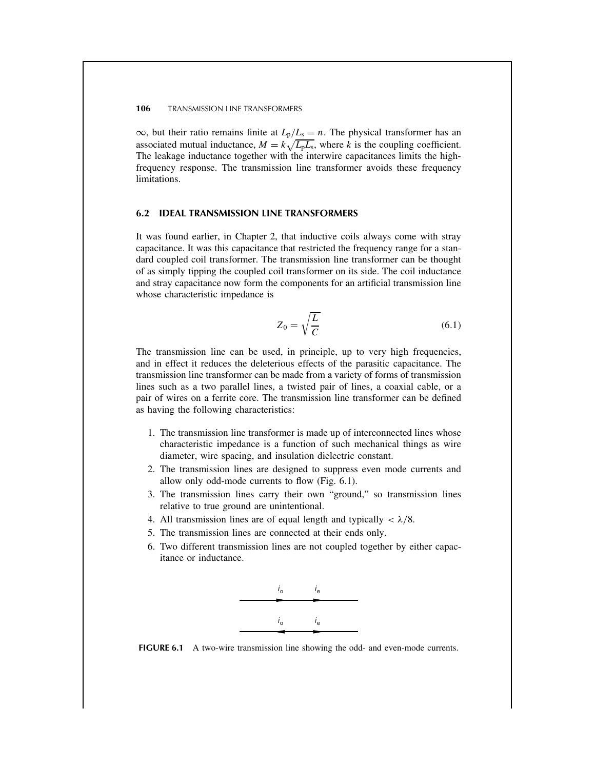$\infty$ , but their ratio remains finite at  $L_p/L_s = n$ . The physical transformer has an associated mutual inductance,  $M = k\sqrt{L_pL_s}$ , where k is the coupling coefficient. The leakage inductance together with the interwire capacitances limits the highfrequency response. The transmission line transformer avoids these frequency limitations.

## **6.2 IDEAL TRANSMISSION LINE TRANSFORMERS**

It was found earlier, in Chapter 2, that inductive coils always come with stray capacitance. It was this capacitance that restricted the frequency range for a standard coupled coil transformer. The transmission line transformer can be thought of as simply tipping the coupled coil transformer on its side. The coil inductance and stray capacitance now form the components for an artificial transmission line whose characteristic impedance is

$$
Z_0 = \sqrt{\frac{L}{C}}\tag{6.1}
$$

The transmission line can be used, in principle, up to very high frequencies, and in effect it reduces the deleterious effects of the parasitic capacitance. The transmission line transformer can be made from a variety of forms of transmission lines such as a two parallel lines, a twisted pair of lines, a coaxial cable, or a pair of wires on a ferrite core. The transmission line transformer can be defined as having the following characteristics:

- 1. The transmission line transformer is made up of interconnected lines whose characteristic impedance is a function of such mechanical things as wire diameter, wire spacing, and insulation dielectric constant.
- 2. The transmission lines are designed to suppress even mode currents and allow only odd-mode currents to flow (Fig. 6.1).
- 3. The transmission lines carry their own "ground," so transmission lines relative to true ground are unintentional.
- 4. All transmission lines are of equal length and typically  $\langle \lambda/8. \rangle$
- 5. The transmission lines are connected at their ends only.
- 6. Two different transmission lines are not coupled together by either capacitance or inductance.



**FIGURE 6.1** A two-wire transmission line showing the odd- and even-mode currents.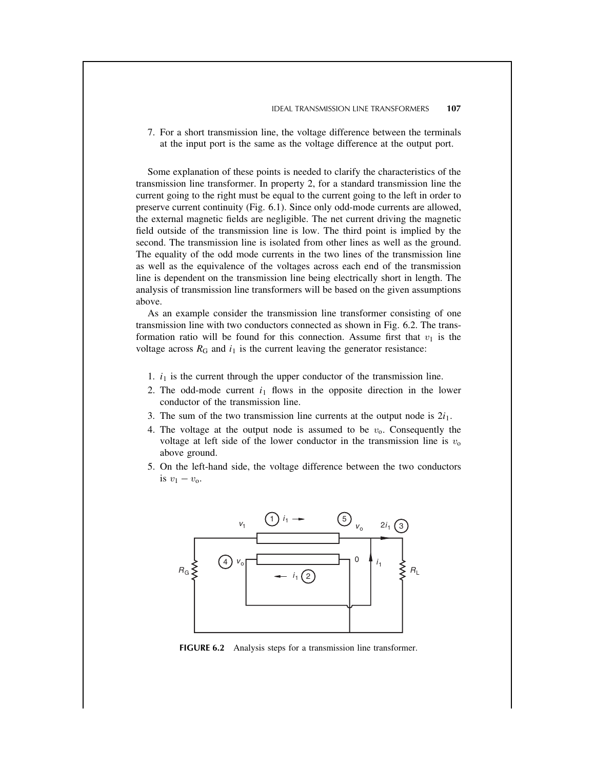7. For a short transmission line, the voltage difference between the terminals at the input port is the same as the voltage difference at the output port.

Some explanation of these points is needed to clarify the characteristics of the transmission line transformer. In property 2, for a standard transmission line the current going to the right must be equal to the current going to the left in order to preserve current continuity (Fig. 6.1). Since only odd-mode currents are allowed, the external magnetic fields are negligible. The net current driving the magnetic field outside of the transmission line is low. The third point is implied by the second. The transmission line is isolated from other lines as well as the ground. The equality of the odd mode currents in the two lines of the transmission line as well as the equivalence of the voltages across each end of the transmission line is dependent on the transmission line being electrically short in length. The analysis of transmission line transformers will be based on the given assumptions above.

As an example consider the transmission line transformer consisting of one transmission line with two conductors connected as shown in Fig. 6.2. The transformation ratio will be found for this connection. Assume first that  $v_1$  is the voltage across  $R_G$  and  $i_1$  is the current leaving the generator resistance:

- 1.  $i_1$  is the current through the upper conductor of the transmission line.
- 2. The odd-mode current  $i_1$  flows in the opposite direction in the lower conductor of the transmission line.
- 3. The sum of the two transmission line currents at the output node is  $2i_1$ .
- 4. The voltage at the output node is assumed to be  $v_0$ . Consequently the voltage at left side of the lower conductor in the transmission line is  $v_0$ above ground.
- 5. On the left-hand side, the voltage difference between the two conductors is  $v_1 - v_0$ .



**FIGURE 6.2** Analysis steps for a transmission line transformer.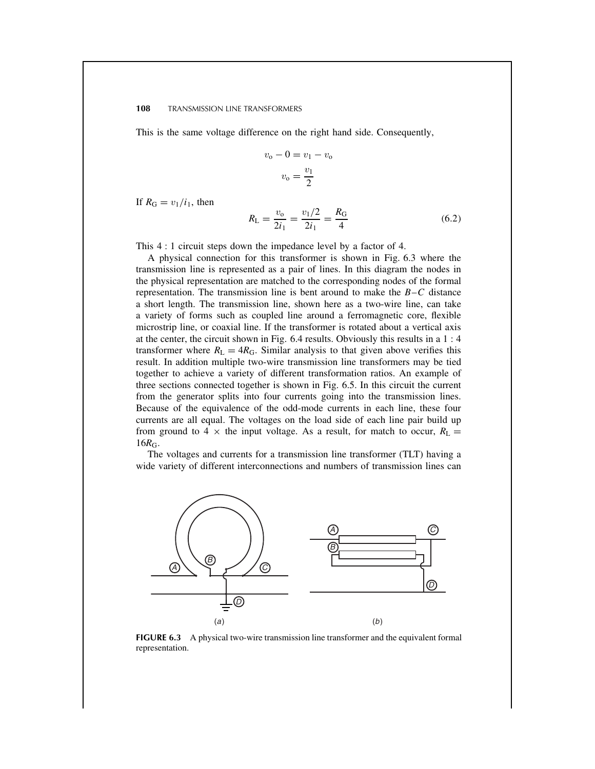This is the same voltage difference on the right hand side. Consequently,

$$
v_0 - 0 = v_1 - v_0
$$

$$
v_0 = \frac{v_1}{2}
$$

If  $R_G = v_1/i_1$ , then

$$
R_{\rm L} = \frac{v_{\rm o}}{2i_1} = \frac{v_1/2}{2i_1} = \frac{R_{\rm G}}{4} \tag{6.2}
$$

This 4 : 1 circuit steps down the impedance level by a factor of 4.

A physical connection for this transformer is shown in Fig. 6.3 where the transmission line is represented as a pair of lines. In this diagram the nodes in the physical representation are matched to the corresponding nodes of the formal representation. The transmission line is bent around to make the  $B-C$  distance a short length. The transmission line, shown here as a two-wire line, can take a variety of forms such as coupled line around a ferromagnetic core, flexible microstrip line, or coaxial line. If the transformer is rotated about a vertical axis at the center, the circuit shown in Fig. 6.4 results. Obviously this results in a 1 : 4 transformer where  $R_L = 4R_G$ . Similar analysis to that given above verifies this result. In addition multiple two-wire transmission line transformers may be tied together to achieve a variety of different transformation ratios. An example of three sections connected together is shown in Fig. 6.5. In this circuit the current from the generator splits into four currents going into the transmission lines. Because of the equivalence of the odd-mode currents in each line, these four currents are all equal. The voltages on the load side of each line pair build up from ground to 4  $\times$  the input voltage. As a result, for match to occur,  $R_L$  =  $16R_G$ .

The voltages and currents for a transmission line transformer (TLT) having a wide variety of different interconnections and numbers of transmission lines can



**FIGURE 6.3** A physical two-wire transmission line transformer and the equivalent formal representation.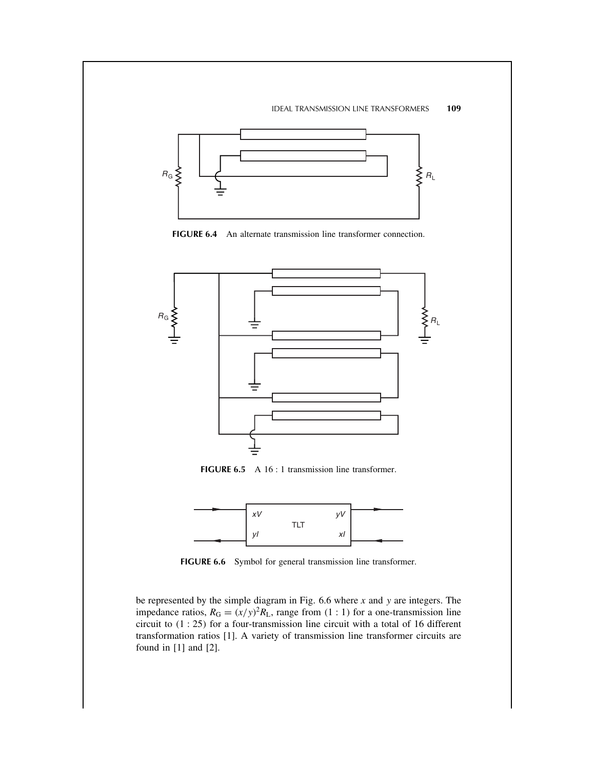

**FIGURE 6.4** An alternate transmission line transformer connection.



**FIGURE 6.5** A 16 : 1 transmission line transformer.



**FIGURE 6.6** Symbol for general transmission line transformer.

be represented by the simple diagram in Fig.  $6.6$  where  $x$  and  $y$  are integers. The impedance ratios,  $R_G = (x/y)^2 R_L$ , range from (1 : 1) for a one-transmission line circuit to  $(1:25)$  for a four-transmission line circuit with a total of 16 different transformation ratios [1]. A variety of transmission line transformer circuits are found in [1] and [2].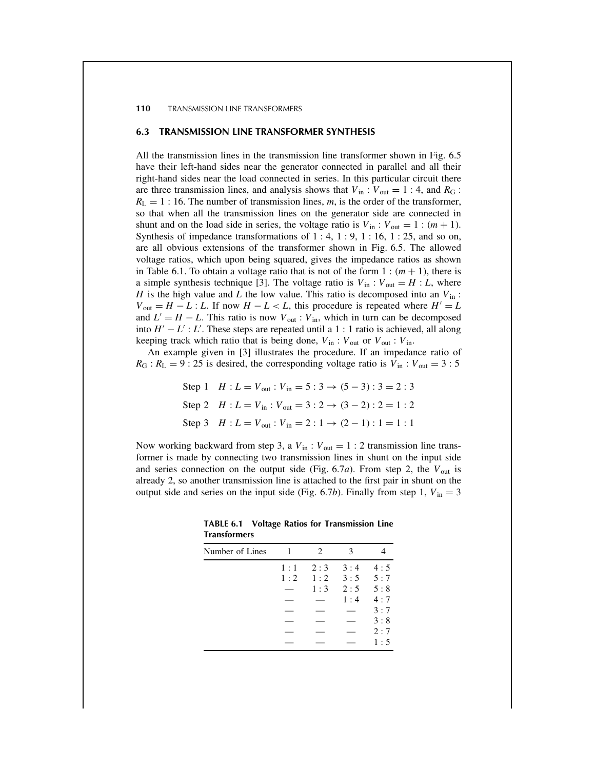## **6.3 TRANSMISSION LINE TRANSFORMER SYNTHESIS**

All the transmission lines in the transmission line transformer shown in Fig. 6.5 have their left-hand sides near the generator connected in parallel and all their right-hand sides near the load connected in series. In this particular circuit there are three transmission lines, and analysis shows that  $V_{in}$ :  $V_{out} = 1 : 4$ , and  $R_G$ :  $R_{\rm L} = 1$ : 16. The number of transmission lines, m, is the order of the transformer, so that when all the transmission lines on the generator side are connected in shunt and on the load side in series, the voltage ratio is  $V_{in}$ :  $V_{out} = 1$ :  $(m + 1)$ . Synthesis of impedance transformations of  $1:4, 1:9, 1:16, 1:25$ , and so on, are all obvious extensions of the transformer shown in Fig. 6.5. The allowed voltage ratios, which upon being squared, gives the impedance ratios as shown in Table 6.1. To obtain a voltage ratio that is not of the form  $1 : (m + 1)$ , there is a simple synthesis technique [3]. The voltage ratio is  $V_{\text{in}}$  :  $V_{\text{out}} = H : L$ , where H is the high value and L the low value. This ratio is decomposed into an  $V_{\text{in}}$ :  $V_{\text{out}} = H - L : L$ . If now  $H - L < L$ , this procedure is repeated where  $H' = L$ and  $L' = H - L$ . This ratio is now  $V_{\text{out}}$ :  $V_{\text{in}}$ , which in turn can be decomposed into  $H' - L'$ : L'. These steps are repeated until a 1 : 1 ratio is achieved, all along keeping track which ratio that is being done,  $V_{in}$ :  $V_{out}$  or  $V_{out}$ :  $V_{in}$ .

An example given in [3] illustrates the procedure. If an impedance ratio of  $R_G$ :  $R_L = 9$ : 25 is desired, the corresponding voltage ratio is  $V_{in}$ :  $V_{out} = 3$ : 5

> Step 1  $H : L = V_{\text{out}} : V_{\text{in}} = 5 : 3 \rightarrow (5 - 3) : 3 = 2 : 3$ Step 2  $H : L = V_{\text{in}} : V_{\text{out}} = 3 : 2 \rightarrow (3 - 2) : 2 = 1 : 2$ Step 3  $H : L = V_{out} : V_{in} = 2 : 1 \rightarrow (2 - 1) : 1 = 1 : 1$

Now working backward from step 3, a  $V_{\text{in}}$ :  $V_{\text{out}} = 1$  : 2 transmission line transformer is made by connecting two transmission lines in shunt on the input side and series connection on the output side (Fig. 6.7a). From step 2, the  $V_{\text{out}}$  is already 2, so another transmission line is attached to the first pair in shunt on the output side and series on the input side (Fig. 6.7b). Finally from step 1,  $V_{in} = 3$ 

| Number of Lines | 1   | 2   | 3   |     |
|-----------------|-----|-----|-----|-----|
|                 | 1:1 | 2:3 | 3:4 | 4:5 |
|                 | 1:2 | 1:2 | 3:5 | 5:7 |
|                 |     | 1:3 | 2:5 | 5:8 |
|                 |     |     | 1:4 | 4:7 |
|                 |     |     |     | 3:7 |
|                 |     |     |     | 3:8 |
|                 |     |     |     | 2:7 |
|                 |     |     |     | 1:5 |

**TABLE 6.1 Voltage Ratios for Transmission Line Transformers**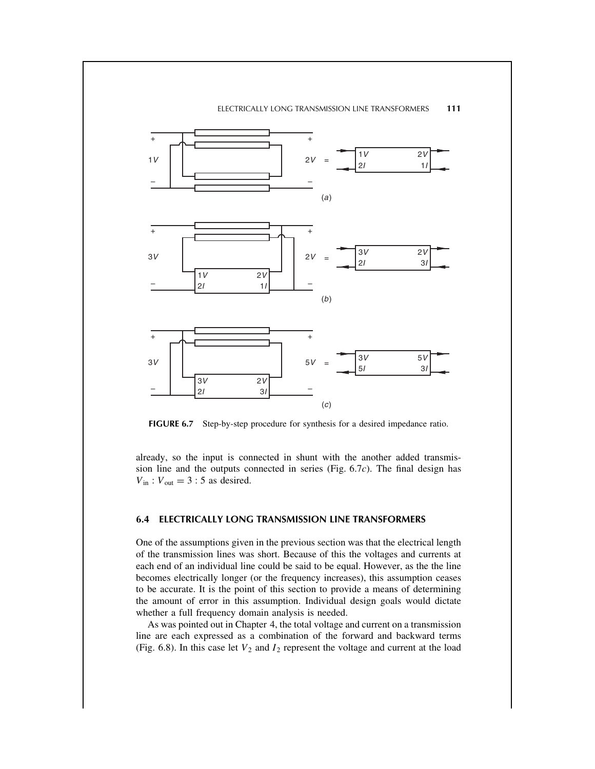## ELECTRICALLY LONG TRANSMISSION LINE TRANSFORMERS **111**



FIGURE 6.7 Step-by-step procedure for synthesis for a desired impedance ratio.

already, so the input is connected in shunt with the another added transmission line and the outputs connected in series (Fig. 6.7c). The final design has  $V_{\text{in}}$ :  $V_{\text{out}} = 3$ : 5 as desired.

## **6.4 ELECTRICALLY LONG TRANSMISSION LINE TRANSFORMERS**

One of the assumptions given in the previous section was that the electrical length of the transmission lines was short. Because of this the voltages and currents at each end of an individual line could be said to be equal. However, as the the line becomes electrically longer (or the frequency increases), this assumption ceases to be accurate. It is the point of this section to provide a means of determining the amount of error in this assumption. Individual design goals would dictate whether a full frequency domain analysis is needed.

As was pointed out in Chapter 4, the total voltage and current on a transmission line are each expressed as a combination of the forward and backward terms (Fig. 6.8). In this case let  $V_2$  and  $I_2$  represent the voltage and current at the load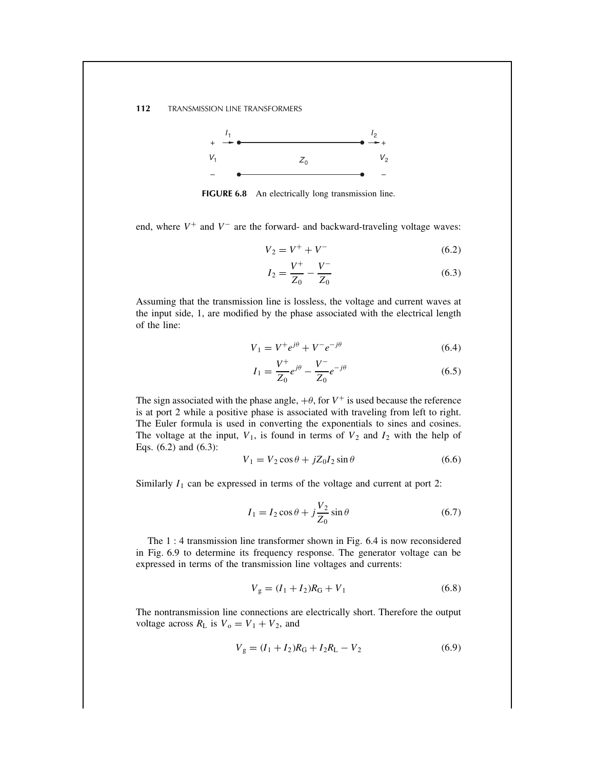

**FIGURE 6.8** An electrically long transmission line.

end, where  $V^+$  and  $V^-$  are the forward- and backward-traveling voltage waves:

$$
V_2 = V^+ + V^- \tag{6.2}
$$

$$
I_2 = \frac{V^+}{Z_0} - \frac{V^-}{Z_0} \tag{6.3}
$$

Assuming that the transmission line is lossless, the voltage and current waves at the input side, 1, are modified by the phase associated with the electrical length of the line:

$$
V_1 = V^+ e^{j\theta} + V^- e^{-j\theta}
$$
 (6.4)

$$
I_1 = \frac{V^+}{Z_0} e^{j\theta} - \frac{V^-}{Z_0} e^{-j\theta} \tag{6.5}
$$

The sign associated with the phase angle,  $+\theta$ , for  $V^+$  is used because the reference is at port 2 while a positive phase is associated with traveling from left to right. The Euler formula is used in converting the exponentials to sines and cosines. The voltage at the input,  $V_1$ , is found in terms of  $V_2$  and  $I_2$  with the help of Eqs. (6.2) and (6.3):

$$
V_1 = V_2 \cos \theta + jZ_0 I_2 \sin \theta \tag{6.6}
$$

Similarly  $I_1$  can be expressed in terms of the voltage and current at port 2:

$$
I_1 = I_2 \cos \theta + j \frac{V_2}{Z_0} \sin \theta \tag{6.7}
$$

The 1 : 4 transmission line transformer shown in Fig. 6.4 is now reconsidered in Fig. 6.9 to determine its frequency response. The generator voltage can be expressed in terms of the transmission line voltages and currents:

$$
V_{\rm g} = (I_1 + I_2)R_{\rm G} + V_1 \tag{6.8}
$$

The nontransmission line connections are electrically short. Therefore the output voltage across  $R_L$  is  $V_o = V_1 + V_2$ , and

$$
V_{\rm g} = (I_1 + I_2)R_{\rm G} + I_2R_{\rm L} - V_2 \tag{6.9}
$$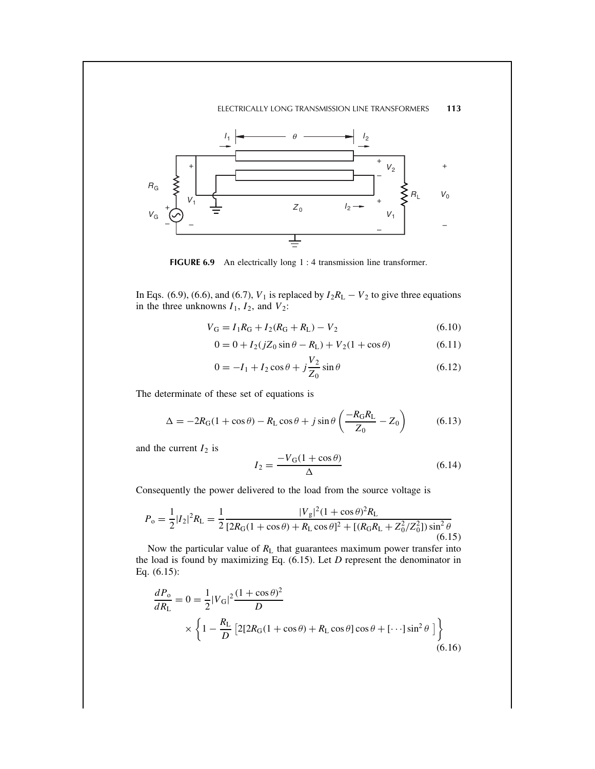## ELECTRICALLY LONG TRANSMISSION LINE TRANSFORMERS **113**



**FIGURE 6.9** An electrically long 1 : 4 transmission line transformer.

In Eqs. (6.9), (6.6), and (6.7),  $V_1$  is replaced by  $I_2R_L - V_2$  to give three equations in the three unknowns  $I_1$ ,  $I_2$ , and  $V_2$ :

$$
V_{\rm G} = I_1 R_{\rm G} + I_2 (R_{\rm G} + R_{\rm L}) - V_2 \tag{6.10}
$$

$$
0 = 0 + I_2(jZ_0 \sin \theta - R_L) + V_2(1 + \cos \theta)
$$
 (6.11)

$$
0 = -I_1 + I_2 \cos \theta + j \frac{V_2}{Z_0} \sin \theta
$$
 (6.12)

The determinate of these set of equations is

$$
\Delta = -2R_G(1 + \cos\theta) - R_L\cos\theta + j\sin\theta \left(\frac{-R_GR_L}{Z_0} - Z_0\right) \tag{6.13}
$$

and the current  $I_2$  is

$$
I_2 = \frac{-V_{\rm G}(1 + \cos \theta)}{\Delta} \tag{6.14}
$$

Consequently the power delivered to the load from the source voltage is

$$
P_{\rm o} = \frac{1}{2} |I_2|^2 R_{\rm L} = \frac{1}{2} \frac{|V_{\rm g}|^2 (1 + \cos \theta)^2 R_{\rm L}}{[2R_{\rm G}(1 + \cos \theta) + R_{\rm L} \cos \theta]^2 + [(R_{\rm G}R_{\rm L} + Z_0^2/Z_0^2)] \sin^2 \theta}
$$
(6.15)

Now the particular value of  $R_L$  that guarantees maximum power transfer into the load is found by maximizing Eq.  $(6.15)$ . Let  $D$  represent the denominator in Eq. (6.15):

$$
\frac{dP_{o}}{dR_{L}} = 0 = \frac{1}{2}|V_{G}|^{2}\frac{(1+\cos\theta)^{2}}{D}
$$

$$
\times \left\{1 - \frac{R_{L}}{D}\left[2[2R_{G}(1+\cos\theta) + R_{L}\cos\theta]\cos\theta + [\cdots]\sin^{2}\theta\right]\right\}
$$
(6.16)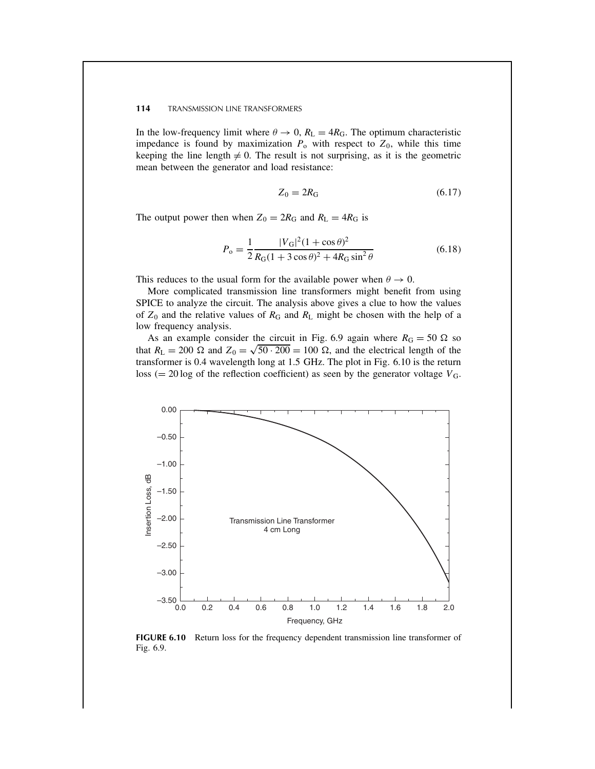In the low-frequency limit where  $\theta \to 0$ ,  $R_L = 4R_G$ . The optimum characteristic impedance is found by maximization  $P_0$  with respect to  $Z_0$ , while this time keeping the line length  $\neq$  0. The result is not surprising, as it is the geometric mean between the generator and load resistance:

$$
Z_0 = 2R_G \tag{6.17}
$$

The output power then when  $Z_0 = 2R_G$  and  $R_L = 4R_G$  is

$$
P_{\rm o} = \frac{1}{2} \frac{|V_{\rm G}|^2 (1 + \cos \theta)^2}{R_{\rm G} (1 + 3 \cos \theta)^2 + 4R_{\rm G} \sin^2 \theta} \tag{6.18}
$$

This reduces to the usual form for the available power when  $\theta \to 0$ .

More complicated transmission line transformers might benefit from using SPICE to analyze the circuit. The analysis above gives a clue to how the values of  $Z_0$  and the relative values of  $R_G$  and  $R_L$  might be chosen with the help of a low frequency analysis.

As an example consider the circuit in Fig. 6.9 again where  $R_G = 50 \Omega$  so that  $R_{\rm L} = 200 \Omega$  and  $Z_0 = \sqrt{50 \cdot 200} = 100 \Omega$ , and the electrical length of the transformer is 0.4 wavelength long at 1.5 GHz. The plot in Fig. 6.10 is the return loss (= 20 log of the reflection coefficient) as seen by the generator voltage  $V_{\text{G}}$ .



**FIGURE 6.10** Return loss for the frequency dependent transmission line transformer of Fig. 6.9.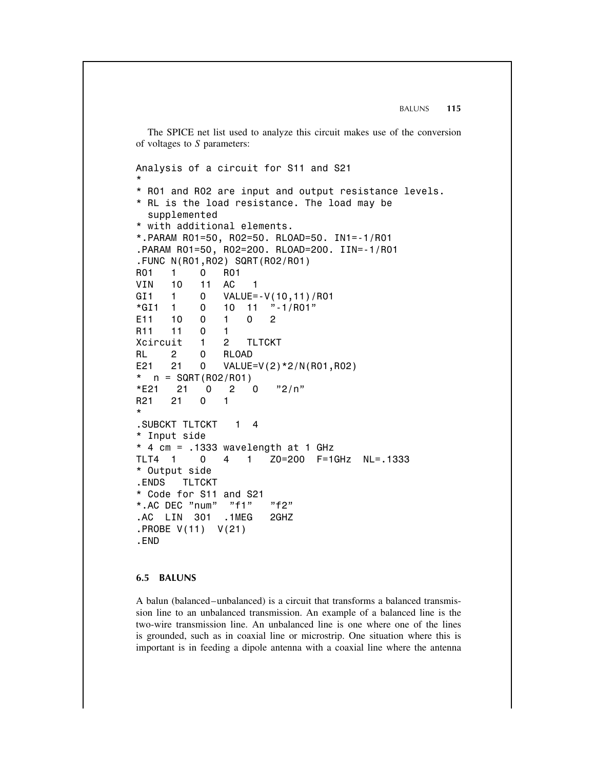BALUNS **115**

The SPICE net list used to analyze this circuit makes use of the conversion of voltages to S parameters:

Analysis of a circuit for S11 and S21 \* \* R01 and R02 are input and output resistance levels. \* RL is the load resistance. The load may be supplemented \* with additional elements. \*.PARAM R01=50, R02=50. RLOAD=50. IN1=-1/R01 .PARAM R01=50, R02=200. RLOAD=200. IIN=-1/R01 .FUNC N(R01,R02) SQRT(R02/R01) R01 1 0 R01 VIN 10 11 AC 1 GI1 1 0 VALUE=-V(10,11)/R01  $*G11$  1 0 10 11 "-1/R01" E11 10 0 1 0 2 R11 11 0 1 Xcircuit 1 2 TLTCKT RL 2 0 RLOAD E21 21 0 VALUE=V(2)\*2/N(R01,R02)  $n = \text{SGRT}(\text{R02}/\text{R01})$ \*E21 21 0 2 0  $"2/n"$ R21 21 0 1 \* .SUBCKT TLTCKT 1 4 \* Input side  $*$  4 cm =  $.1333$  wavelength at 1 GHz TLT4 1 0 4 1 Z0=200 F=1GHz NL=.1333 \* Output side .ENDS TLTCKT \* Code for S11 and S21 \*.AC DEC "num" "f1" "f2" .AC LIN 301 .1MEG 2GHZ .PROBE V(11) V(21) .END

# **6.5 BALUNS**

A balun (balanced–unbalanced) is a circuit that transforms a balanced transmission line to an unbalanced transmission. An example of a balanced line is the two-wire transmission line. An unbalanced line is one where one of the lines is grounded, such as in coaxial line or microstrip. One situation where this is important is in feeding a dipole antenna with a coaxial line where the antenna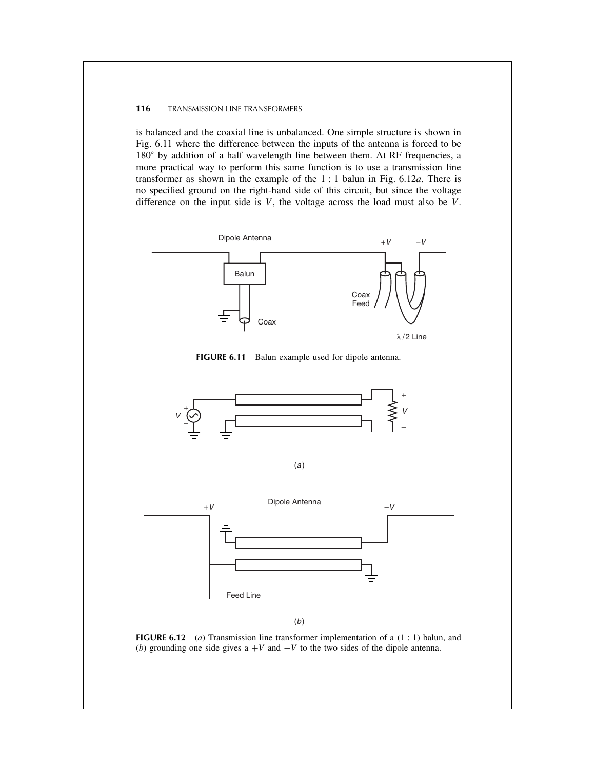is balanced and the coaxial line is unbalanced. One simple structure is shown in Fig. 6.11 where the difference between the inputs of the antenna is forced to be 180° by addition of a half wavelength line between them. At RF frequencies, a more practical way to perform this same function is to use a transmission line transformer as shown in the example of the  $1:1$  balun in Fig. 6.12a. There is no specified ground on the right-hand side of this circuit, but since the voltage difference on the input side is  $V$ , the voltage across the load must also be  $V$ .







(b)

**FIGURE 6.12** (a) Transmission line transformer implementation of a  $(1:1)$  balun, and (b) grounding one side gives  $a + V$  and  $-V$  to the two sides of the dipole antenna.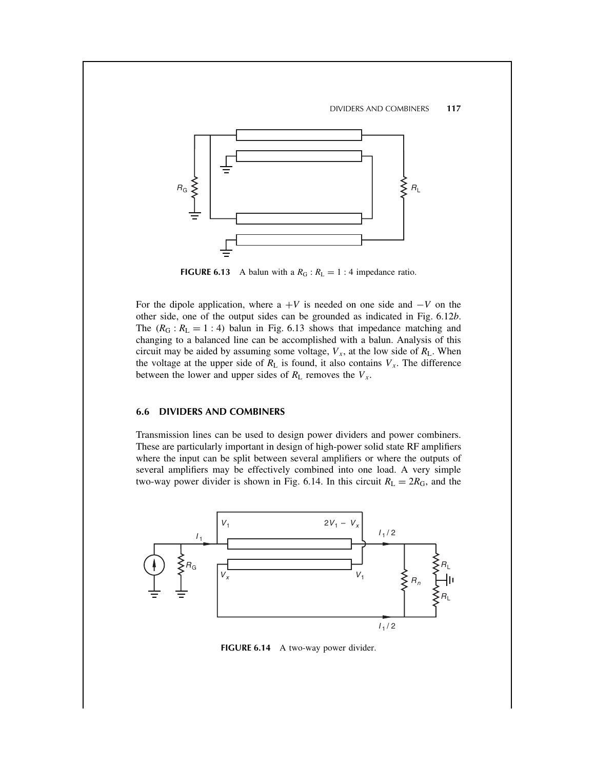

**FIGURE 6.13** A balun with a  $R_G$ :  $R_L = 1$ : 4 impedance ratio.

For the dipole application, where  $a + V$  is needed on one side and  $-V$  on the other side, one of the output sides can be grounded as indicated in Fig. 6.12b. The  $(R_G : R_L = 1 : 4)$  balun in Fig. 6.13 shows that impedance matching and changing to a balanced line can be accomplished with a balun. Analysis of this circuit may be aided by assuming some voltage,  $V_x$ , at the low side of  $R_L$ . When the voltage at the upper side of  $R_L$  is found, it also contains  $V_x$ . The difference between the lower and upper sides of  $R_L$  removes the  $V_x$ .

# **6.6 DIVIDERS AND COMBINERS**

Transmission lines can be used to design power dividers and power combiners. These are particularly important in design of high-power solid state RF amplifiers where the input can be split between several amplifiers or where the outputs of several amplifiers may be effectively combined into one load. A very simple two-way power divider is shown in Fig. 6.14. In this circuit  $R_L = 2R_G$ , and the



**FIGURE 6.14** A two-way power divider.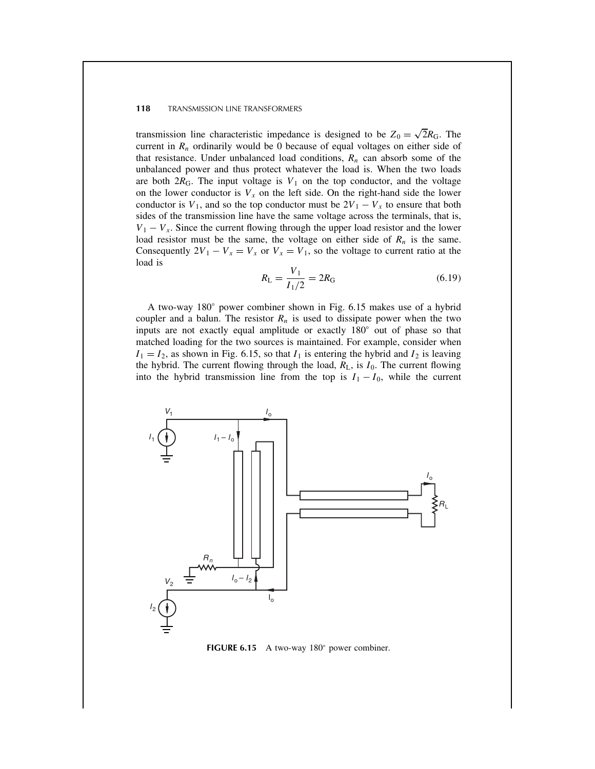transmission line characteristic impedance is designed to be  $Z_0 = \sqrt{2}R_G$ . The current in  $R_n$  ordinarily would be 0 because of equal voltages on either side of that resistance. Under unbalanced load conditions,  $R_n$  can absorb some of the unbalanced power and thus protect whatever the load is. When the two loads are both  $2R_G$ . The input voltage is  $V_1$  on the top conductor, and the voltage on the lower conductor is  $V_x$  on the left side. On the right-hand side the lower conductor is  $V_1$ , and so the top conductor must be  $2V_1 - V_x$  to ensure that both sides of the transmission line have the same voltage across the terminals, that is,  $V_1 - V_x$ . Since the current flowing through the upper load resistor and the lower load resistor must be the same, the voltage on either side of  $R_n$  is the same. Consequently  $2V_1 - V_x = V_x$  or  $V_x = V_1$ , so the voltage to current ratio at the load is

$$
R_{\rm L} = \frac{V_1}{I_1/2} = 2R_{\rm G} \tag{6.19}
$$

A two-way 180° power combiner shown in Fig. 6.15 makes use of a hybrid coupler and a balun. The resistor  $R_n$  is used to dissipate power when the two inputs are not exactly equal amplitude or exactly 180° out of phase so that matched loading for the two sources is maintained. For example, consider when  $I_1 = I_2$ , as shown in Fig. 6.15, so that  $I_1$  is entering the hybrid and  $I_2$  is leaving the hybrid. The current flowing through the load,  $R_L$ , is  $I_0$ . The current flowing into the hybrid transmission line from the top is  $I_1 - I_0$ , while the current



**FIGURE 6.15** A two-way 180° power combiner.